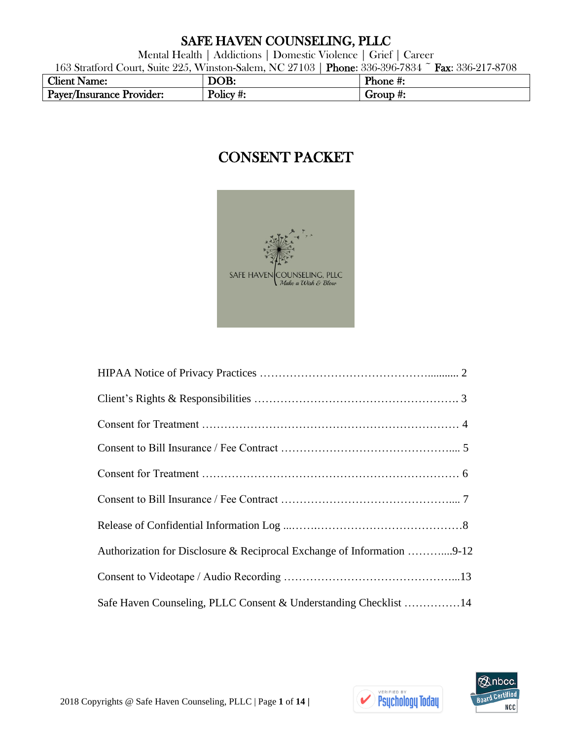Mental Health | Addictions | Domestic Violence | Grief | Career

163 Stratford Court, Suite 225, Winston-Salem, NC 27103 | Phone: 336-396-7834 ~ Fax: 336-217-8708

| $\sim$<br><b>Lient</b><br><b>Name:</b> | DOB:             | DL.<br>Phone<br><u>тг</u><br>п, |
|----------------------------------------|------------------|---------------------------------|
| Payer/Insurance<br><b>Provider:</b>    | . .<br>:† Yolicy | roup<br><u>т</u> .<br>UЦ<br>п.  |

# CONSENT PACKET



| Authorization for Disclosure & Reciprocal Exchange of Information 9-12 |
|------------------------------------------------------------------------|
|                                                                        |
| Safe Haven Counseling, PLLC Consent & Understanding Checklist 14       |



VERIFIED B

V

Psychology Today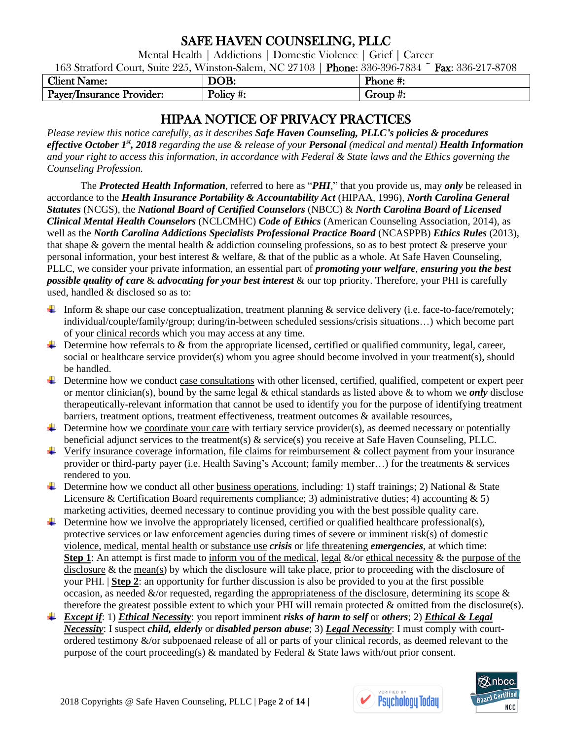Mental Health | Addictions | Domestic Violence | Grief | Career

163 Stratford Court, Suite 225, Winston-Salem, NC 27103 | Phone: 336-396-7834 ~ Fax: 336-217-8708

| $\sim$<br><b>Client</b><br><b>Name:</b> | DOB:     | Phone<br>.#: |
|-----------------------------------------|----------|--------------|
| <b>Payer/Insurance Provider:</b>        | Policy#: | Group $\#$ : |

# HIPAA NOTICE OF PRIVACY PRACTICES

*Please review this notice carefully, as it describes Safe Haven Counseling, PLLC's policies & procedures effective October 1 st , 2018 regarding the use & release of your Personal (medical and mental) Health Information and your right to access this information, in accordance with Federal & State laws and the Ethics governing the Counseling Profession.*

The *Protected Health Information*, referred to here as "*PHI*," that you provide us, may *only* be released in accordance to the *Health Insurance Portability & Accountability Act* (HIPAA, 1996), *North Carolina General Statutes* (NCGS), the *National Board of Certified Counselors* (NBCC) & *North Carolina Board of Licensed Clinical Mental Health Counselors* (NCLCMHC) *Code of Ethics* (American Counseling Association, 2014), as well as the *North Carolina Addictions Specialists Professional Practice Board* (NCASPPB) *Ethics Rules* (2013), that shape & govern the mental health & addiction counseling professions, so as to best protect & preserve your personal information, your best interest & welfare, & that of the public as a whole. At Safe Haven Counseling, PLLC, we consider your private information, an essential part of *promoting your welfare*, *ensuring you the best possible quality of care* & *advocating for your best interest* & our top priority. Therefore, your PHI is carefully used, handled & disclosed so as to:

- Inform & shape our case conceptualization, treatment planning  $\&$  service delivery (i.e. face-to-face/remotely; individual/couple/family/group; during/in-between scheduled sessions/crisis situations…) which become part of your clinical records which you may access at any time.
- $\downarrow$  Determine how referrals to  $\&$  from the appropriate licensed, certified or qualified community, legal, career, social or healthcare service provider(s) whom you agree should become involved in your treatment(s), should be handled.
- ↓ Determine how we conduct case consultations with other licensed, certified, qualified, competent or expert peer or mentor clinician(s), bound by the same legal & ethical standards as listed above & to whom we *only* disclose therapeutically-relevant information that cannot be used to identify you for the purpose of identifying treatment barriers, treatment options, treatment effectiveness, treatment outcomes & available resources,
- Determine how we coordinate your care with tertiary service provider(s), as deemed necessary or potentially beneficial adjunct services to the treatment(s) & service(s) you receive at Safe Haven Counseling, PLLC.
- $\ddot{\bullet}$  Verify insurance coverage information, file claims for reimbursement & collect payment from your insurance provider or third-party payer (i.e. Health Saving's Account; family member…) for the treatments & services rendered to you.
- Determine how we conduct all other business operations, including: 1) staff trainings; 2) National & State Licensure & Certification Board requirements compliance; 3) administrative duties; 4) accounting  $\& 5$ ) marketing activities, deemed necessary to continue providing you with the best possible quality care.
- $\downarrow$  Determine how we involve the appropriately licensed, certified or qualified healthcare professional(s), protective services or law enforcement agencies during times of severe or imminent risk(s) of domestic violence, medical, mental health or substance use *crisis* or life threatening *emergencies*, at which time: **Step 1**: An attempt is first made to inform you of the medical, legal &/or ethical necessity & the purpose of the disclosure & the mean(s) by which the disclosure will take place, prior to proceeding with the disclosure of your PHI. | **Step 2**: an opportunity for further discussion is also be provided to you at the first possible occasion, as needed  $\&$ /or requested, regarding the appropriateness of the disclosure, determining its scope  $\&$ therefore the greatest possible extent to which your PHI will remain protected & omitted from the disclosure(s).
- *Except if*: 1) *Ethical Necessity*: you report imminent *risks of harm to self* or *others*; 2) *Ethical & Legal Necessity*: I suspect *child, elderly* or *disabled person abuse*; 3) *Legal Necessity*: I must comply with courtordered testimony &/or subpoenaed release of all or parts of your clinical records, as deemed relevant to the purpose of the court proceeding(s) & mandated by Federal & State laws with/out prior consent.



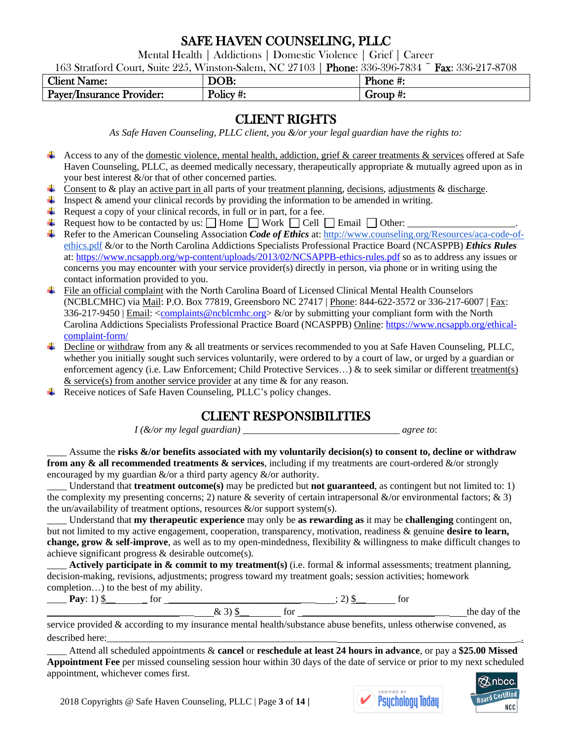Mental Health | Addictions | Domestic Violence | Grief | Career

163 Stratford Court, Suite 225, Winston-Salem, NC 27103 | Phone: 336-396-7834 ~ Fax: 336-217-8708

| <b>Client N</b><br>Name:              | DOB:      | Phone<br><u>тг</u><br>π. |
|---------------------------------------|-----------|--------------------------|
| Payer/Insurance 1<br><b>Provider:</b> | Policy #: | Group<br><b>TT</b><br>π. |

## CLIENT RIGHTS

*As Safe Haven Counseling, PLLC client, you &/or your legal guardian have the rights to:*

- Access to any of the domestic violence, mental health, addiction, grief  $\&$  career treatments  $\&$  services offered at Safe Haven Counseling, PLLC, as deemed medically necessary, therapeutically appropriate & mutually agreed upon as in your best interest &/or that of other concerned parties.
- Consent to  $\&$  play an active part in all parts of your treatment planning, decisions, adjustments  $\&$  discharge.
- Inspect  $\&$  amend your clinical records by providing the information to be amended in writing.
- Request a copy of your clinical records, in full or in part, for a fee.
- Request how to be contacted by us:  $\Box$  Home  $\Box$  Work  $\Box$  Cell  $\Box$  Email  $\Box$  Other:  $\Box$
- Refer to the American Counseling Association *Code of Ethics* at[: http://www.counseling.org/Resources/aca-code-of](http://www.counseling.org/Resources/aca-code-of-ethics.pdf%E2%80%8B)[ethics.pdf](http://www.counseling.org/Resources/aca-code-of-ethics.pdf%E2%80%8B) &/or to the North Carolina Addictions Specialists Professional Practice Board (NCASPPB) *Ethics Rules* at:<https://www.ncsappb.org/wp-content/uploads/2013/02/NCSAPPB-ethics-rules.pdf> so as to address any issues or concerns you may encounter with your service provider(s) directly in person, via phone or in writing using the contact information provided to you.
- File an official complaint with the North Carolina Board of Licensed Clinical Mental Health Counselors (NCBLCMHC) via Mail: P.O. Box 77819, Greensboro NC 27417 | Phone: 844-622-3572 or 336-217-6007 | Fax: 336-217-9450 | Email: [<complaints@ncblcmhc.org>](mailto:complaints@ncblcmhc.org) &/or by submitting your compliant form with the North Carolina Addictions Specialists Professional Practice Board (NCASPPB) Online: [https://www.ncsappb.org/ethical](https://www.ncsappb.org/ethical-complaint-form/)[complaint-form/](https://www.ncsappb.org/ethical-complaint-form/)
- ↓ Decline or withdraw from any & all treatments or services recommended to you at Safe Haven Counseling, PLLC, whether you initially sought such services voluntarily, were ordered to by a court of law, or urged by a guardian or enforcement agency (i.e. Law Enforcement; Child Protective Services...) & to seek similar or different treatment(s) & service(s) from another service provider at any time & for any reason.
- ↓ Receive notices of Safe Haven Counseling, PLLC's policy changes.

## CLIENT RESPONSIBILITIES

*I (&/or my legal guardian) \_\_\_\_\_\_\_\_\_\_\_\_\_\_\_\_\_\_\_\_\_\_\_\_\_\_\_\_\_\_\_\_ agree to*:

\_\_\_\_ Assume the **risks &/or benefits associated with my voluntarily decision(s) to consent to, decline or withdraw from any & all recommended treatments & services**, including if my treatments are court-ordered &/or strongly encouraged by my guardian  $\&$ /or a third party agency  $\&$ /or authority.

\_\_\_\_ Understand that **treatment outcome(s)** may be predicted but **not guaranteed**, as contingent but not limited to: 1) the complexity my presenting concerns; 2) nature & severity of certain intrapersonal  $\&$ /or environmental factors;  $\&$  3) the un/availability of treatment options, resources  $\&$ /or support system(s).

\_\_\_\_ Understand that **my therapeutic experience** may only be **as rewarding as** it may be **challenging** contingent on, but not limited to my active engagement, cooperation, transparency, motivation, readiness & genuine **desire to learn, change, grow & self-improve**, as well as to my open-mindedness, flexibility & willingness to make difficult changes to achieve significant progress & desirable outcome(s).

\_\_\_\_ **Actively participate in & commit to my treatment(s)** (i.e. formal & informal assessments; treatment planning, decision-making, revisions, adjustments; progress toward my treatment goals; session activities; homework completion…) to the best of my ability.  $\frac{1}{2}$  **Pay**: 1)  $\frac{8}{2}$  for  $\frac{2}{3}$  for  $\frac{8}{3}$  for  $\frac{1}{2}$  for

 $\begin{array}{c}\n\text{for}\n\end{array}$  for  $\begin{array}{c}\n\text{for}\n\end{array}$ 

service provided & according to my insurance mental health/substance abuse benefits, unless otherwise convened, as described here:

\_\_\_\_ Attend all scheduled appointments & **cancel** or **reschedule at least 24 hours in advance**, or pay a **\$25.00 Missed Appointment Fee** per missed counseling session hour within 30 days of the date of service or prior to my next scheduled appointment, whichever comes first.



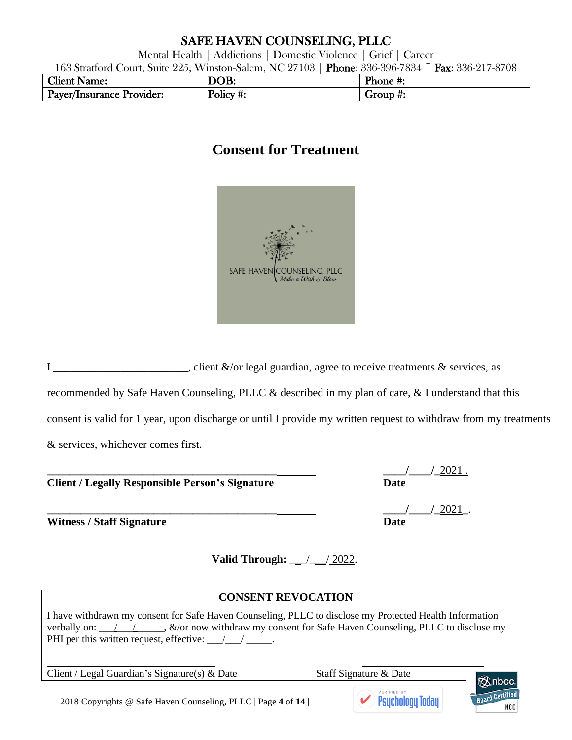Mental Health | Addictions | Domestic Violence | Grief | Career

163 Stratford Court, Suite 225, Winston-Salem, NC 27103 | Phone: 336-396-7834 ~ Fax: 336-217-8708

| Client.<br>- -<br>Name: | NOR.<br>ш<br>v. | Phone #:   |
|-------------------------|-----------------|------------|
| Payer                   | $\mathbf{r}$    | Group      |
| <b>Provider:</b>        | $\bullet$       | <u>т</u> . |
| <b>Insurance</b>        | Policy #:       | π.         |

# **Consent for Treatment**



I client &/or legal guardian, agree to receive treatments & services, as

recommended by Safe Haven Counseling, PLLC & described in my plan of care, & I understand that this

consent is valid for 1 year, upon discharge or until I provide my written request to withdraw from my treatments

& services, whichever comes first.

#### **Client / Legally Responsible Person's Signature Date**

**Witness** / **Staff Signature** 

**\_\_\_\_\_\_\_\_\_\_\_\_\_\_\_\_\_\_\_\_\_\_\_\_\_\_\_\_\_\_\_\_\_\_\_\_\_\_\_\_\_ \_\_\_\_/\_\_\_\_/\_**2021**\_**.

**Valid Through:** \_\_\_/\_\_\_/ 2022.

## **CONSENT REVOCATION**

\_\_\_\_\_\_\_\_\_\_\_ \_\_\_\_\_\_\_\_\_

I have withdrawn my consent for Safe Haven Counseling, PLLC to disclose my Protected Health Information verbally on: <u>\_\_/\_\_\_/</u> \_\_\_\_, &/or now withdraw my consent for Safe Haven Counseling, PLLC to disclose my PHI per this written request, effective:  $\frac{1}{2}$ 

Client / Legal Guardian's Signature(s) & Date Staff Signature & Date

2018 Copyrights @ Safe Haven Counseling, PLLC | Page **4** of **14 |**



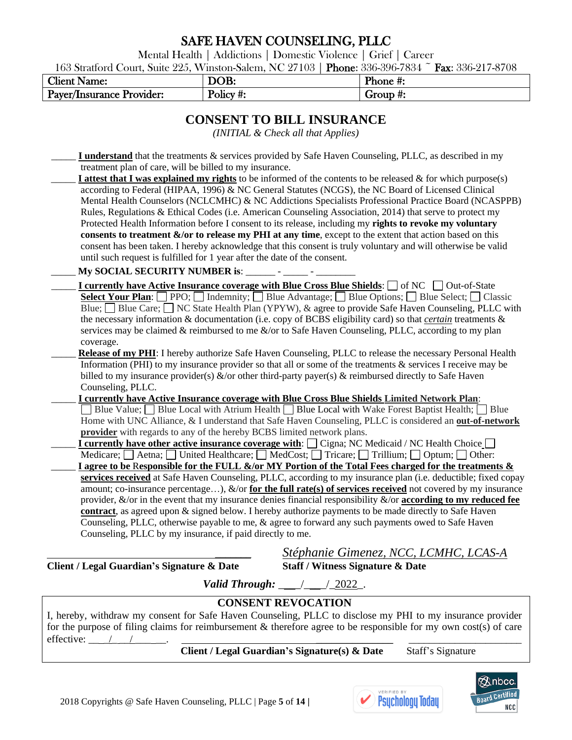Mental Health | Addictions | Domestic Violence | Grief | Career

163 Stratford Court, Suite 225, Winston-Salem, NC 27103 | Phone: 336-396-7834 ~ Fax: 336-217-8708

| ⌒"<br>$\mathsf{\_}$<br>\ame: | DOB:           | Phone<br><br>π, |
|------------------------------|----------------|-----------------|
| Payer                        | $\blacksquare$ | <u>тт</u> к     |
| <b>Provider:</b>             | $\mathbf{u}$   | GIOUD           |
| <b>Insurance</b>             | Policy #:      | .               |

## **CONSENT TO BILL INSURANCE**

*(INITIAL & Check all that Applies)*

| I understand that the treatments & services provided by Safe Haven Counseling, PLLC, as described in my                        |
|--------------------------------------------------------------------------------------------------------------------------------|
| treatment plan of care, will be billed to my insurance.                                                                        |
| I attest that I was explained my rights to be informed of the contents to be released & for which purpose(s)                   |
| according to Federal (HIPAA, 1996) & NC General Statutes (NCGS), the NC Board of Licensed Clinical                             |
| Mental Health Counselors (NCLCMHC) & NC Addictions Specialists Professional Practice Board (NCASPPB)                           |
| Rules, Regulations & Ethical Codes (i.e. American Counseling Association, 2014) that serve to protect my                       |
| Protected Health Information before I consent to its release, including my rights to revoke my voluntary                       |
| consents to treatment &/or to release my PHI at any time, except to the extent that action based on this                       |
| consent has been taken. I hereby acknowledge that this consent is truly voluntary and will otherwise be valid                  |
| until such request is fulfilled for 1 year after the date of the consent.                                                      |
| My SOCIAL SECURITY NUMBER is: _______ -                                                                                        |
| <b>I currently have Active Insurance coverage with Blue Cross Blue Shields:</b> [ ] of NC [ ] Out-of-State                     |
| <b>Select Your Plan:</b> PPO; $\Box$ Indemnity; $\Box$ Blue Advantage; $\Box$ Blue Options; $\Box$ Blue Select; $\Box$ Classic |
| Blue; $\Box$ Blue Care; $\Box$ NC State Health Plan (YPYW), & agree to provide Safe Haven Counseling, PLLC with                |
| the necessary information & documentation (i.e. copy of BCBS eligibility card) so that <i>certain</i> treatments $\&$          |
| services may be claimed & reimbursed to me &/or to Safe Haven Counseling, PLLC, according to my plan                           |
| coverage.                                                                                                                      |
| Release of my PHI: I hereby authorize Safe Haven Counseling, PLLC to release the necessary Personal Health                     |
| Information (PHI) to my insurance provider so that all or some of the treatments $\&$ services I receive may be                |
| billed to my insurance provider(s) &/or other third-party payer(s) & reimbursed directly to Safe Haven                         |
| Counseling, PLLC.                                                                                                              |
| I currently have Active Insurance coverage with Blue Cross Blue Shields Limited Network Plan:                                  |
| Blue Value; Blue Local with Atrium Health Blue Local with Wake Forest Baptist Health; Blue                                     |
| Home with UNC Alliance, & I understand that Safe Haven Counseling, PLLC is considered an out-of-network                        |
| provider with regards to any of the hereby BCBS limited network plans.                                                         |
| <b>I currently have other active insurance coverage with:</b> $\Box$ Cigna; NC Medicaid / NC Health Choice $\Box$              |
| Medicare; $\Box$ Aetna; $\Box$ United Healthcare; $\Box$ MedCost; $\Box$ Tricare; $\Box$ Trillium; $\Box$ Optum; $\Box$ Other: |
| I agree to be Responsible for the FULL $\&$ /or MY Portion of the Total Fees charged for the treatments $\&$                   |
| services received at Safe Haven Counseling, PLLC, according to my insurance plan (i.e. deductible; fixed copay                 |
| amount; co-insurance percentage), $\&$ /or for the full rate(s) of services received not covered by my insurance               |
| provider, &/or in the event that my insurance denies financial responsibility &/or <b>according to my reduced fee</b>          |
| contract, as agreed upon & signed below. I hereby authorize payments to be made directly to Safe Haven                         |
| Counseling, PLLC, otherwise payable to me, & agree to forward any such payments owed to Safe Haven                             |
| Counseling, PLLC by my insurance, if paid directly to me.                                                                      |
| Sténhanie Gimenez NCC LCMHC LCAS-A                                                                                             |

**Client / Legal Guardian's Signature & Date Staff / Witness Signature & Date**

\_\_\_\_\_\_\_ *Stéphanie Gimenez, NCC, LCMHC, LCAS-A*

*Valid Through:* \_\_\_\_/\_\_\_\_/\_2022\_.

### **CONSENT REVOCATION**

I, hereby, withdraw my consent for Safe Haven Counseling, PLLC to disclose my PHI to my insurance provider for the purpose of filing claims for reimbursement & therefore agree to be responsible for my own cost(s) of care effective:  $\frac{\gamma}{\gamma}$   $\frac{\gamma}{\gamma}$ 

 **Client** / Legal Guardian's Signature(s) & Date Staff's Signature



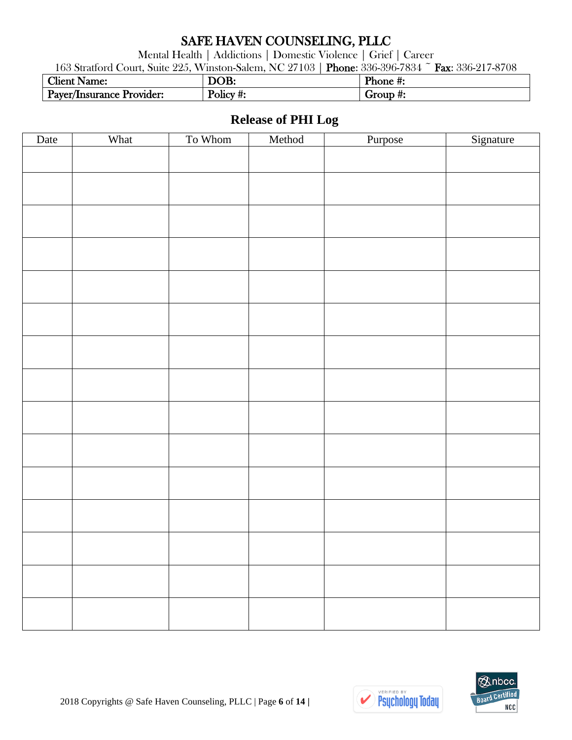Mental Health | Addictions | Domestic Violence | Grief | Career

163 Stratford Court, Suite 225, Winston-Salem, NC 27103 | Phone: 336-396-7834 ~ Fax: 336-217-8708

| <b>Client Name:</b>              | DOB.        | Phone #: |
|----------------------------------|-------------|----------|
| <b>Payer/Insurance Provider:</b> | Policy<br>H | Group #: |

# **Release of PHI Log**

| Date | What | To Whom | Method | Purpose | Signature |
|------|------|---------|--------|---------|-----------|
|      |      |         |        |         |           |
|      |      |         |        |         |           |
|      |      |         |        |         |           |
|      |      |         |        |         |           |
|      |      |         |        |         |           |
|      |      |         |        |         |           |
|      |      |         |        |         |           |
|      |      |         |        |         |           |
|      |      |         |        |         |           |
|      |      |         |        |         |           |
|      |      |         |        |         |           |
|      |      |         |        |         |           |
|      |      |         |        |         |           |
|      |      |         |        |         |           |
|      |      |         |        |         |           |
|      |      |         |        |         |           |
|      |      |         |        |         |           |
|      |      |         |        |         |           |
|      |      |         |        |         |           |
|      |      |         |        |         |           |
|      |      |         |        |         |           |
|      |      |         |        |         |           |
|      |      |         |        |         |           |
|      |      |         |        |         |           |
|      |      |         |        |         |           |
|      |      |         |        |         |           |
|      |      |         |        |         |           |



**VERIFIED B** 

V

Psychology Today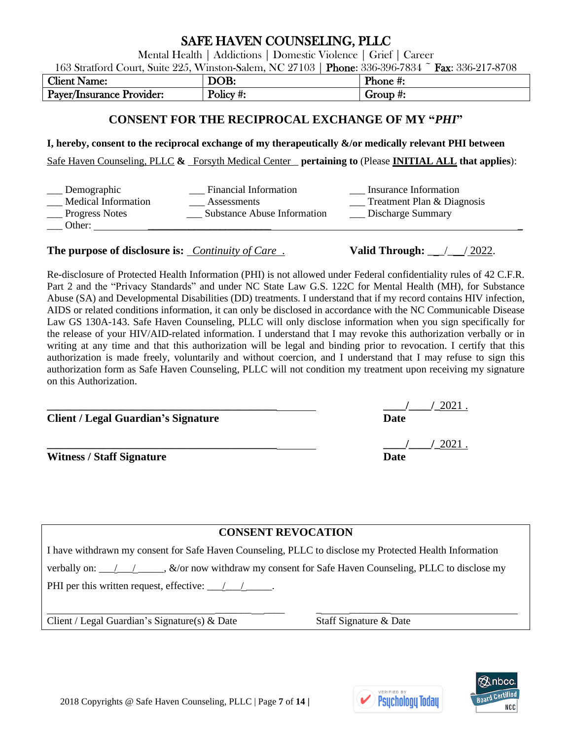Mental Health | Addictions | Domestic Violence | Grief | Career

163 Stratford Court, Suite 225, Winston-Salem, NC 27103 | Phone: 336-396-7834 ~ Fax: 336-217-8708

| <b>Client</b><br>Name:    | ΛD<br>vυ                                                             | Phone<br>,,,,<br>π.           |
|---------------------------|----------------------------------------------------------------------|-------------------------------|
| Payer/Insurance Provider: | $\bullet$<br>$\blacksquare$<br>$\overline{\phantom{a}}$<br>Policy #: | $m$<br><br><b>GIOUD</b><br>π, |

#### **CONSENT FOR THE RECIPROCAL EXCHANGE OF MY "***PHI***"**

**I, hereby, consent to the reciprocal exchange of my therapeutically &/or medically relevant PHI between**

Safe Haven Counseling, PLLC **&** Forsyth Medical Center \_ **pertaining to** (Please **INITIAL ALL that applies**):

| Demographic         | <b>Financial Information</b>       | Insurance Information      |
|---------------------|------------------------------------|----------------------------|
| Medical Information | Assessments                        | Treatment Plan & Diagnosis |
| Progress Notes      | <b>Substance Abuse Information</b> | Discharge Summary          |
| Other:              |                                    |                            |

**The purpose of disclosure is:** *Continuity of Care* . **Valid Through:** / / 2022.

Re-disclosure of Protected Health Information (PHI) is not allowed under Federal confidentiality rules of 42 C.F.R. Part 2 and the "Privacy Standards" and under NC State Law G.S. 122C for Mental Health (MH), for Substance Abuse (SA) and Developmental Disabilities (DD) treatments. I understand that if my record contains HIV infection, AIDS or related conditions information, it can only be disclosed in accordance with the NC Communicable Disease Law GS 130A-143. Safe Haven Counseling, PLLC will only disclose information when you sign specifically for the release of your HIV/AID-related information. I understand that I may revoke this authorization verbally or in writing at any time and that this authorization will be legal and binding prior to revocation. I certify that this authorization is made freely, voluntarily and without coercion, and I understand that I may refuse to sign this authorization form as Safe Haven Counseling, PLLC will not condition my treatment upon receiving my signature on this Authorization.

**Client** / **Legal Guardian's** Signature

| <b>Witness / Staff Signature</b> | Date |
|----------------------------------|------|
|                                  |      |

#### **CONSENT REVOCATION**

| I have withdrawn my consent for Safe Haven Counseling, PLLC to disclose my Protected Health Information                                                                                                                                                                                                                                                                                                     |  |  |
|-------------------------------------------------------------------------------------------------------------------------------------------------------------------------------------------------------------------------------------------------------------------------------------------------------------------------------------------------------------------------------------------------------------|--|--|
| verbally on: $\frac{1}{1-\frac{1}{1-\frac{1}{1-\frac{1}{1-\frac{1}{1-\frac{1}{1-\frac{1}{1-\frac{1}{1-\frac{1}{1-\frac{1}{1-\frac{1}{1-\frac{1}{1-\frac{1}{1-\frac{1}{1-\frac{1}{1-\frac{1}{1-\frac{1}{1-\frac{1}{1-\frac{1}{1-\frac{1}{1-\frac{1}{1-\frac{1}{1-\frac{1}{1-\frac{1}{1-\frac{1}{1-\frac{1}{1-\frac{1}{1-\frac{1}{1-\frac{1}{1-\frac{1}{1-\frac{1}{1-\frac{1}{1-\frac{1}{1-\frac{1}{1-\frac{$ |  |  |
| PHI per this written request, effective: $\frac{1}{\sqrt{2}}$ .                                                                                                                                                                                                                                                                                                                                             |  |  |

\_\_\_\_\_\_\_ \_\_\_\_ \_ \_\_\_\_\_\_\_\_

Client / Legal Guardian's Signature(s) & Date Staff Signature & Date

ERIFIED I



**Date** 

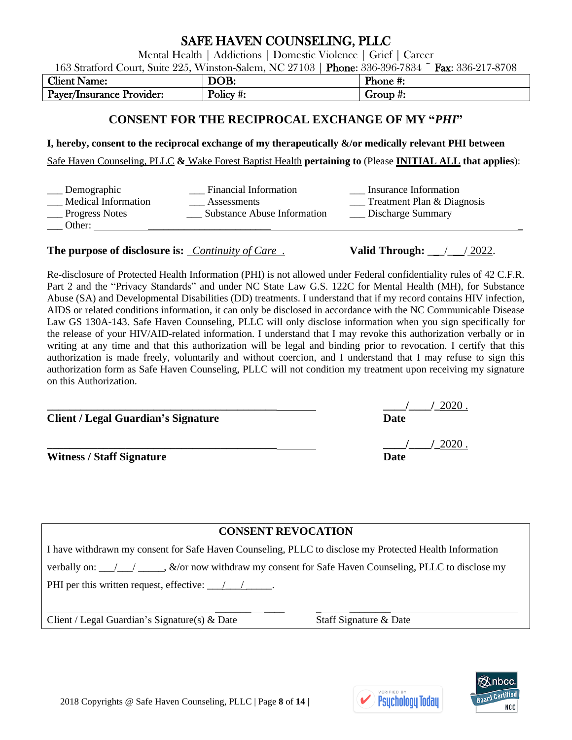Mental Health | Addictions | Domestic Violence | Grief | Career

163 Stratford Court, Suite 225, Winston-Salem, NC 27103 | Phone: 336-396-7834 ~ Fax: 336-217-8708

| Client.<br>Name:          | א∩ת                 | Phone #.                            |
|---------------------------|---------------------|-------------------------------------|
| Payer/Insurance Provider: | $\sim$<br>Policy #: | $\sigma$ roud<br>$\mathbf{r}$<br>π. |

#### **CONSENT FOR THE RECIPROCAL EXCHANGE OF MY "***PHI***"**

**I, hereby, consent to the reciprocal exchange of my therapeutically &/or medically relevant PHI between**

Safe Haven Counseling, PLLC **&** Wake Forest Baptist Health **pertaining to** (Please **INITIAL ALL that applies**):

| Demographic         | <b>Financial Information</b>       | Insurance Information      |
|---------------------|------------------------------------|----------------------------|
| Medical Information | Assessments                        | Treatment Plan & Diagnosis |
| Progress Notes      | <b>Substance Abuse Information</b> | Discharge Summary          |
| Other:              |                                    |                            |

**The purpose of disclosure is:** *Continuity of Care* . **Valid Through:** / / 2022.

Re-disclosure of Protected Health Information (PHI) is not allowed under Federal confidentiality rules of 42 C.F.R. Part 2 and the "Privacy Standards" and under NC State Law G.S. 122C for Mental Health (MH), for Substance Abuse (SA) and Developmental Disabilities (DD) treatments. I understand that if my record contains HIV infection, AIDS or related conditions information, it can only be disclosed in accordance with the NC Communicable Disease Law GS 130A-143. Safe Haven Counseling, PLLC will only disclose information when you sign specifically for the release of your HIV/AID-related information. I understand that I may revoke this authorization verbally or in writing at any time and that this authorization will be legal and binding prior to revocation. I certify that this authorization is made freely, voluntarily and without coercion, and I understand that I may refuse to sign this authorization form as Safe Haven Counseling, PLLC will not condition my treatment upon receiving my signature on this Authorization.

**Client** / **Legal Guardian's** Signature

| <b>Witness / Staff Signature</b> | Date |
|----------------------------------|------|
|                                  |      |

#### **CONSENT REVOCATION**

| I have withdrawn my consent for Safe Haven Counseling, PLLC to disclose my Protected Health Information |
|---------------------------------------------------------------------------------------------------------|
|                                                                                                         |
| PHI per this written request, effective: $\angle$                                                       |

\_\_\_\_\_\_\_ \_\_\_\_ \_ \_\_\_\_\_\_\_\_

Client / Legal Guardian's Signature(s) & Date Staff Signature & Date



**\_\_\_\_\_\_\_\_\_\_\_\_\_\_\_\_\_\_\_\_\_\_\_\_\_\_\_\_\_\_\_\_\_\_\_\_\_\_\_\_\_ \_\_\_\_/\_\_\_\_/\_**2020 .

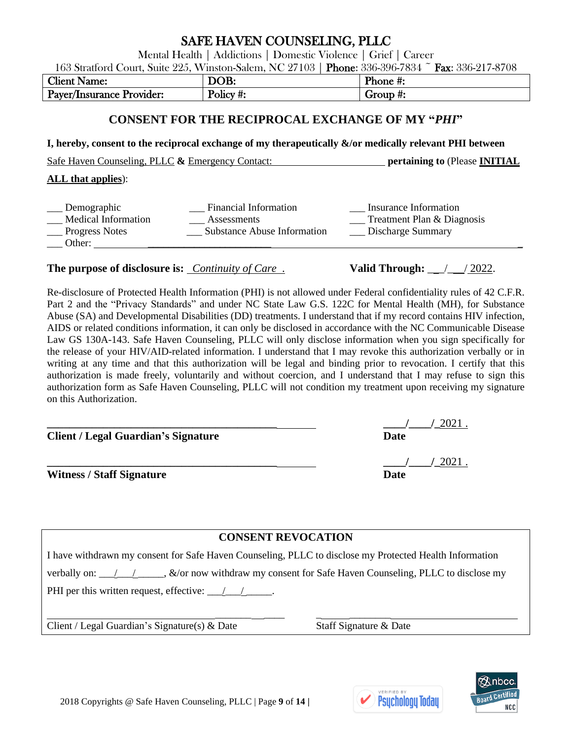Mental Health | Addictions | Domestic Violence | Grief | Career

163 Stratford Court, Suite 225, Winston-Salem, NC 27103 | Phone: 336-396-7834 ~ Fax: 336-217-8708

| Client.<br>Name:          | ∩∩R<br>עש        | Phone                 |
|---------------------------|------------------|-----------------------|
| Payer/Insurance Provider: | . .<br>Policy #: | $\sim$<br>Group<br>π. |

### **CONSENT FOR THE RECIPROCAL EXCHANGE OF MY "***PHI***"**

**I, hereby, consent to the reciprocal exchange of my therapeutically &/or medically relevant PHI between**

Safe Haven Counseling, PLLC **&** Emergency Contact: **pertaining to** (Please **INITIAL**

#### **ALL that applies**):

| Demographic                 | <b>Financial Information</b> | Insurance Information      |
|-----------------------------|------------------------------|----------------------------|
| Medical Information         | Assessments                  | Treatment Plan & Diagnosis |
| <u>Latin Progress</u> Notes | Substance Abuse Information  | Discharge Summary          |
| Other:                      |                              |                            |

#### **The purpose of disclosure is:** *Continuity of Care* . **Valid Through:** / / 2022.

Re-disclosure of Protected Health Information (PHI) is not allowed under Federal confidentiality rules of 42 C.F.R. Part 2 and the "Privacy Standards" and under NC State Law G.S. 122C for Mental Health (MH), for Substance Abuse (SA) and Developmental Disabilities (DD) treatments. I understand that if my record contains HIV infection, AIDS or related conditions information, it can only be disclosed in accordance with the NC Communicable Disease Law GS 130A-143. Safe Haven Counseling, PLLC will only disclose information when you sign specifically for the release of your HIV/AID-related information. I understand that I may revoke this authorization verbally or in writing at any time and that this authorization will be legal and binding prior to revocation. I certify that this authorization is made freely, voluntarily and without coercion, and I understand that I may refuse to sign this authorization form as Safe Haven Counseling, PLLC will not condition my treatment upon receiving my signature on this Authorization.

| <b>Client / Legal Guardian's Signature</b> | Date         |
|--------------------------------------------|--------------|
| <b>Witness / Staff Signature</b>           | 2021<br>Date |

#### **CONSENT REVOCATION**

\_\_\_\_\_\_\_ \_\_\_\_ \_ \_\_\_\_\_\_\_\_

I have withdrawn my consent for Safe Haven Counseling, PLLC to disclose my Protected Health Information verbally on: <u>\_\_/\_\_\_/</u> \_\_\_\_, &/or now withdraw my consent for Safe Haven Counseling, PLLC to disclose my PHI per this written request, effective:  $\frac{1}{\sqrt{2}}$ .

Client / Legal Guardian's Signature(s) & Date Staff Signature & Date

ERIFIED B



NCC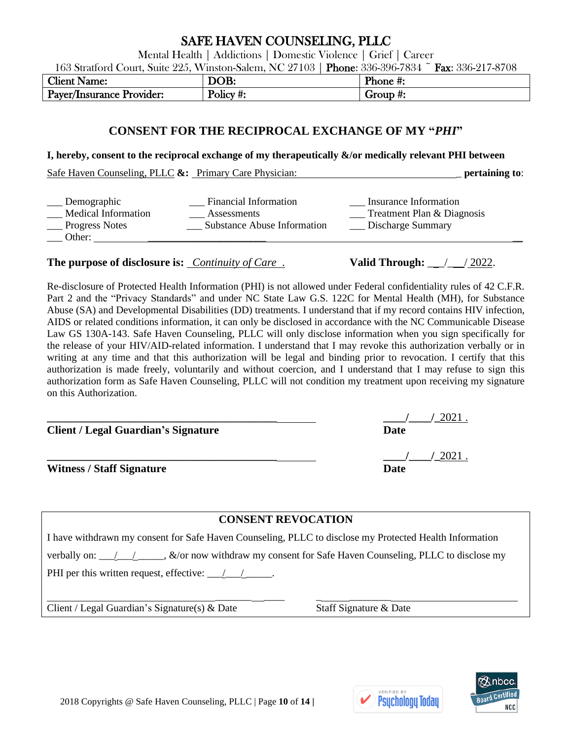Mental Health | Addictions | Domestic Violence | Grief | Career

163 Stratford Court, Suite 225, Winston-Salem, NC 27103 | Phone: 336-396-7834 ~ Fax: 336-217-8708

| Client<br>Name:  | DOB:                      | Phone<br>٠.<br>π. |
|------------------|---------------------------|-------------------|
| Payer/           |                           | $\sigma$ roup     |
| <b>Provider:</b> | $\overline{\phantom{a}}$  | $\mathbf{r}$      |
| ∵Insurance I     | $\text{Pohcv}\,\text{#}:$ | π.                |

#### **CONSENT FOR THE RECIPROCAL EXCHANGE OF MY "***PHI***"**

**I, hereby, consent to the reciprocal exchange of my therapeutically &/or medically relevant PHI between**

Safe Haven Counseling, PLLC **&:** Primary Care Physician: \_ **pertaining to**:

| <b>Financial Information</b><br>Demographic<br><b>Medical Information</b><br>Assessments<br>Substance Abuse Information<br>Progress Notes<br>Other: | Insurance Information<br>Treatment Plan & Diagnosis<br>Discharge Summary |
|-----------------------------------------------------------------------------------------------------------------------------------------------------|--------------------------------------------------------------------------|
|-----------------------------------------------------------------------------------------------------------------------------------------------------|--------------------------------------------------------------------------|

**The purpose of disclosure is:** *Continuity of Care* . **Valid Through:** \_\_\_/\_\_\_/ 2022.

Re-disclosure of Protected Health Information (PHI) is not allowed under Federal confidentiality rules of 42 C.F.R. Part 2 and the "Privacy Standards" and under NC State Law G.S. 122C for Mental Health (MH), for Substance Abuse (SA) and Developmental Disabilities (DD) treatments. I understand that if my record contains HIV infection, AIDS or related conditions information, it can only be disclosed in accordance with the NC Communicable Disease Law GS 130A-143. Safe Haven Counseling, PLLC will only disclose information when you sign specifically for the release of your HIV/AID-related information. I understand that I may revoke this authorization verbally or in writing at any time and that this authorization will be legal and binding prior to revocation. I certify that this authorization is made freely, voluntarily and without coercion, and I understand that I may refuse to sign this authorization form as Safe Haven Counseling, PLLC will not condition my treatment upon receiving my signature on this Authorization.

**Client** / **Legal Guardian's Signature** 

**Witness** / **Staff Signature** 

#### **CONSENT REVOCATION**

\_\_\_\_\_\_\_ \_\_\_\_ \_ \_\_\_\_\_\_\_\_

I have withdrawn my consent for Safe Haven Counseling, PLLC to disclose my Protected Health Information verbally on: \_\_\_/\_\_\_\_\_\_, &/or now withdraw my consent for Safe Haven Counseling, PLLC to disclose my PHI per this written request, effective:  $\frac{\sqrt{2}}{2}$ .

Client / Legal Guardian's Signature(s) & Date Staff Signature & Date





**Psychology Today** 

**Date**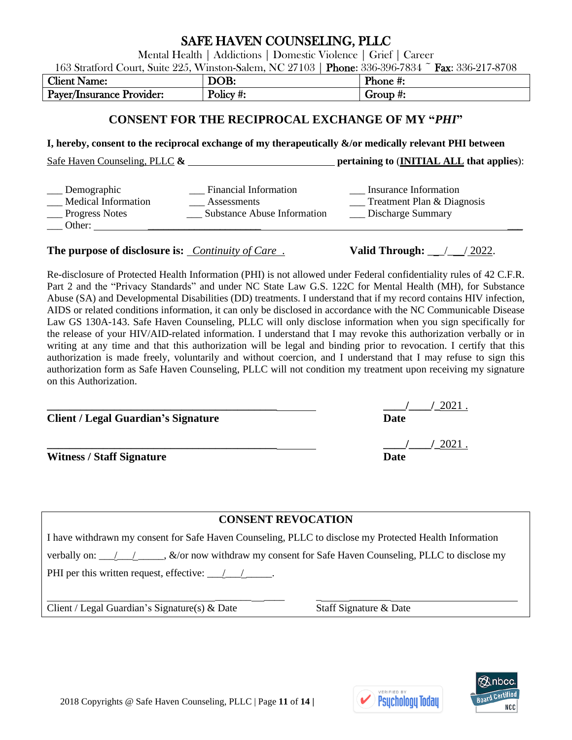Mental Health | Addictions | Domestic Violence | Grief | Career

163 Stratford Court, Suite 225, Winston-Salem, NC 27103 | Phone: 336-396-7834 ~ Fax: 336-217-8708

| Client l<br>Name:         | DOB.<br>vv. | Phone #: |
|---------------------------|-------------|----------|
| Payer/Insurance Provider: | Policy#:    | Group #: |

## **CONSENT FOR THE RECIPROCAL EXCHANGE OF MY "***PHI***"**

**I, hereby, consent to the reciprocal exchange of my therapeutically &/or medically relevant PHI between**

Safe Haven Counseling, PLLC  $\&$  **pertaining to** (INITIAL ALL that applies):

**Date** 

**\_\_\_\_\_\_\_\_\_\_\_\_\_\_\_\_\_\_\_\_\_\_\_\_\_\_\_\_\_\_\_\_\_\_\_\_\_\_\_\_\_ \_\_\_\_/\_\_\_\_/\_**2021 .

| Demographic                | <b>Financial Information</b>       | Insurance Information      |
|----------------------------|------------------------------------|----------------------------|
| <b>Medical Information</b> | Assessments                        | Treatment Plan & Diagnosis |
| Progress Notes             | <b>Substance Abuse Information</b> | Discharge Summary          |
| Other:                     |                                    |                            |

**The purpose of disclosure is:** *Continuity of Care* . **Valid Through:** / / 2022.

Re-disclosure of Protected Health Information (PHI) is not allowed under Federal confidentiality rules of 42 C.F.R. Part 2 and the "Privacy Standards" and under NC State Law G.S. 122C for Mental Health (MH), for Substance Abuse (SA) and Developmental Disabilities (DD) treatments. I understand that if my record contains HIV infection, AIDS or related conditions information, it can only be disclosed in accordance with the NC Communicable Disease Law GS 130A-143. Safe Haven Counseling, PLLC will only disclose information when you sign specifically for the release of your HIV/AID-related information. I understand that I may revoke this authorization verbally or in writing at any time and that this authorization will be legal and binding prior to revocation. I certify that this authorization is made freely, voluntarily and without coercion, and I understand that I may refuse to sign this authorization form as Safe Haven Counseling, PLLC will not condition my treatment upon receiving my signature on this Authorization.

**Client** / **Legal Guardian's Signature** 

| <b>Witness / Staff Signature</b> | Date |
|----------------------------------|------|
|                                  |      |

## **CONSENT REVOCATION**

\_\_\_\_\_\_\_ \_\_\_\_ \_ \_\_\_\_\_\_\_\_

I have withdrawn my consent for Safe Haven Counseling, PLLC to disclose my Protected Health Information verbally on: \_\_\_/\_\_\_\_\_\_, &/or now withdraw my consent for Safe Haven Counseling, PLLC to disclose my PHI per this written request, effective:  $\frac{\sqrt{2}}{2}$ .

Client / Legal Guardian's Signature(s) & Date Staff Signature & Date

**ERIFIED B** 

**Psuchology Today** 

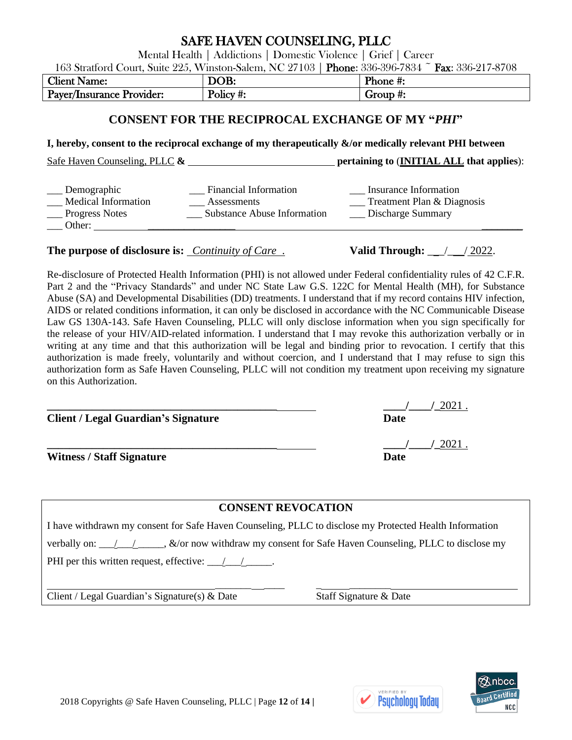Client / Legal Guardian's Signature(s) & Date Staff Signature & Date

#### **CONSENT REVOCATION**

\_\_\_\_\_\_\_ \_\_\_\_ \_ \_\_\_\_\_\_\_\_

| I have withdrawn my consent for Safe Haven Counseling, PLLC to disclose my Protected Health Information |
|---------------------------------------------------------------------------------------------------------|
|                                                                                                         |
| PHI per this written request, effective: $\angle$                                                       |

2018 Copyrights @ Safe Haven Counseling, PLLC | Page **12** of **14 |**

## SAFE HAVEN COUNSELING, PLLC

Mental Health | Addictions | Domestic Violence | Grief | Career

163 Stratford Court, Suite 225, Winston-Salem, NC 27103 | Phone: 336-396-7834 ~ Fax: 336-217-8708

| <b>Client Name:</b>       | $\bf{DOB}:$ | Phone #:     |
|---------------------------|-------------|--------------|
| Payer/Insurance Provider: | Policy#:    | Group $\#$ : |

#### **CONSENT FOR THE RECIPROCAL EXCHANGE OF MY "***PHI***"**

**I, hereby, consent to the reciprocal exchange of my therapeutically &/or medically relevant PHI between**

Safe Haven Counseling, PLLC **& pertaining to** (**INITIAL ALL that applies**):

| Demographic                | Financial Information       | Insurance Information      |
|----------------------------|-----------------------------|----------------------------|
| <b>Medical Information</b> | Assessments                 | Treatment Plan & Diagnosis |
| Progress Notes             | Substance Abuse Information | Discharge Summary          |
| Other:                     |                             |                            |

**The purpose of disclosure is:** *Continuity of Care* . **Valid Through:** / / 2022.

Re-disclosure of Protected Health Information (PHI) is not allowed under Federal confidentiality rules of 42 C.F.R. Part 2 and the "Privacy Standards" and under NC State Law G.S. 122C for Mental Health (MH), for Substance Abuse (SA) and Developmental Disabilities (DD) treatments. I understand that if my record contains HIV infection, AIDS or related conditions information, it can only be disclosed in accordance with the NC Communicable Disease Law GS 130A-143. Safe Haven Counseling, PLLC will only disclose information when you sign specifically for the release of your HIV/AID-related information. I understand that I may revoke this authorization verbally or in writing at any time and that this authorization will be legal and binding prior to revocation. I certify that this authorization is made freely, voluntarily and without coercion, and I understand that I may refuse to sign this authorization form as Safe Haven Counseling, PLLC will not condition my treatment upon receiving my signature on this Authorization.

**Client** / **Legal Guardian's Signature** 

**Witness** / **Staff Signature** 

**ERIFIED Psuchology Today** 



**\_\_\_\_\_\_\_\_\_\_\_\_\_\_\_\_\_\_\_\_\_\_\_\_\_\_\_\_\_\_\_\_\_\_\_\_\_\_\_\_\_ \_\_\_\_/\_\_\_\_/\_**2021 .

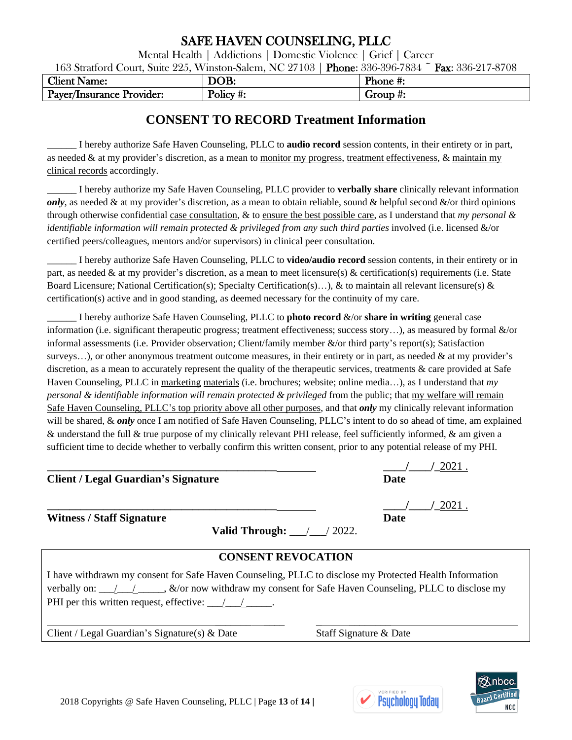Mental Health | Addictions | Domestic Violence | Grief | Career

163 Stratford Court, Suite 225, Winston-Salem, NC 27103 | Phone: 336-396-7834 ~ Fax: 336-217-8708

| Client<br><b>Name:</b>           | DOB:      | Phone #:                              |
|----------------------------------|-----------|---------------------------------------|
| <b>Payer/Insurance Provider:</b> | Policy #: | Group<br>$\boldsymbol{\pi_{\bullet}}$ |

## **CONSENT TO RECORD Treatment Information**

\_\_\_\_\_\_ I hereby authorize Safe Haven Counseling, PLLC to **audio record** session contents, in their entirety or in part, as needed  $\&$  at my provider's discretion, as a mean to monitor my progress, treatment effectiveness,  $&$  maintain my clinical records accordingly.

\_\_\_\_\_\_ I hereby authorize my Safe Haven Counseling, PLLC provider to **verbally share** clinically relevant information *only*, as needed & at my provider's discretion, as a mean to obtain reliable, sound & helpful second  $\&$ /or third opinions through otherwise confidential case consultation, & to ensure the best possible care, as I understand that *my personal & identifiable information will remain protected & privileged from any such third parties* involved (i.e. licensed &/or certified peers/colleagues, mentors and/or supervisors) in clinical peer consultation.

\_\_\_\_\_\_ I hereby authorize Safe Haven Counseling, PLLC to **video/audio record** session contents, in their entirety or in part, as needed & at my provider's discretion, as a mean to meet licensure(s) & certification(s) requirements (i.e. State Board Licensure; National Certification(s); Specialty Certification(s)…), & to maintain all relevant licensure(s) & certification(s) active and in good standing, as deemed necessary for the continuity of my care.

\_\_\_\_\_\_ I hereby authorize Safe Haven Counseling, PLLC to **photo record** &/or **share in writing** general case information (i.e. significant therapeutic progress; treatment effectiveness; success story…), as measured by formal &/or informal assessments (i.e. Provider observation; Client/family member &/or third party's report(s); Satisfaction surveys...), or other anonymous treatment outcome measures, in their entirety or in part, as needed  $\&$  at my provider's discretion, as a mean to accurately represent the quality of the therapeutic services, treatments & care provided at Safe Haven Counseling, PLLC in marketing materials (i.e. brochures; website; online media…), as I understand that *my personal & identifiable information will remain protected & privileged* from the public; that my welfare will remain Safe Haven Counseling, PLLC's top priority above all other purposes, and that *only* my clinically relevant information will be shared, & *only* once I am notified of Safe Haven Counseling, PLLC's intent to do so ahead of time, am explained & understand the full & true purpose of my clinically relevant PHI release, feel sufficiently informed, & am given a sufficient time to decide whether to verbally confirm this written consent, prior to any potential release of my PHI.

#### **Client** / **Legal Guardian's** Signature

**Witness** / **Staff Signature** 

**Valid Through:** \_\_\_/\_\_\_/ 2022.

#### **CONSENT REVOCATION**

I have withdrawn my consent for Safe Haven Counseling, PLLC to disclose my Protected Health Information verbally on:  $\ell$  /  $\&$   $\&$   $\&$   $\&$   $\&$  now withdraw my consent for Safe Haven Counseling, PLLC to disclose my PHI per this written request, effective:  $\frac{1}{2}$ 

\_\_\_\_\_\_\_ \_\_\_\_ \_ \_\_\_\_\_\_\_\_ Client / Legal Guardian's Signature(s) & Date Staff Signature & Date



**\_\_\_\_\_\_\_\_\_\_\_\_\_\_\_\_\_\_\_\_\_\_\_\_\_\_\_\_\_\_\_\_\_\_\_\_\_\_\_\_\_ \_\_\_\_/\_\_\_\_/\_**2021 .